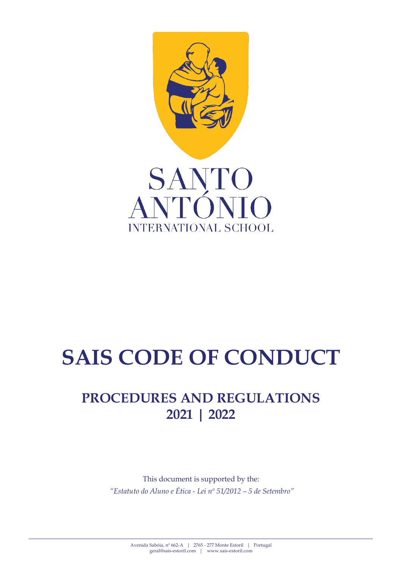

# **SAIS CODE OF CONDUCT**

# **PROCEDURES AND REGULATIONS 2021 | 2022**

This document is supported by the: *"Estatuto do Aluno e Ética - Lei nº 51/2012 – 5 de Setembro"*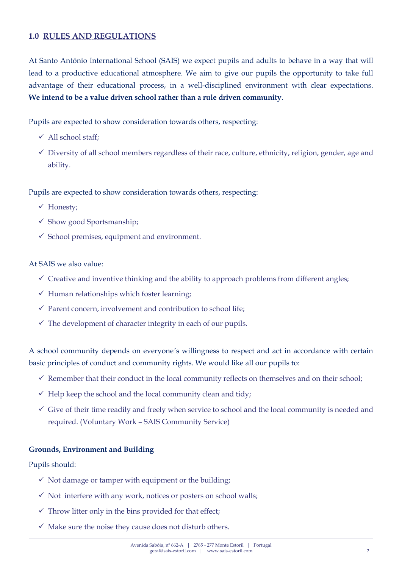# **1.0 RULES AND REGULATIONS**

At Santo António International School (SAIS) we expect pupils and adults to behave in a way that will lead to a productive educational atmosphere. We aim to give our pupils the opportunity to take full advantage of their educational process, in a well-disciplined environment with clear expectations. **We intend to be a value driven school rather than a rule driven community**.

Pupils are expected to show consideration towards others, respecting:

- All school staff;
- $\checkmark$  Diversity of all school members regardless of their race, culture, ethnicity, religion, gender, age and ability.

Pupils are expected to show consideration towards others, respecting:

- Honesty;
- $\checkmark$  Show good Sportsmanship;
- $\checkmark$  School premises, equipment and environment.

# At SAIS we also value:

- $\checkmark$  Creative and inventive thinking and the ability to approach problems from different angles;
- $\checkmark$  Human relationships which foster learning;
- $\checkmark$  Parent concern, involvement and contribution to school life;
- $\checkmark$  The development of character integrity in each of our pupils.

A school community depends on everyone´s willingness to respect and act in accordance with certain basic principles of conduct and community rights. We would like all our pupils to:

- $\checkmark$  Remember that their conduct in the local community reflects on themselves and on their school;
- $\checkmark$  Help keep the school and the local community clean and tidy;
- $\checkmark$  Give of their time readily and freely when service to school and the local community is needed and required. (Voluntary Work – SAIS Community Service)

#### **Grounds, Environment and Building**

Pupils should:

- $\checkmark$  Not damage or tamper with equipment or the building;
- $\checkmark$  Not interfere with any work, notices or posters on school walls;
- $\checkmark$  Throw litter only in the bins provided for that effect;
- $\checkmark$  Make sure the noise they cause does not disturb others.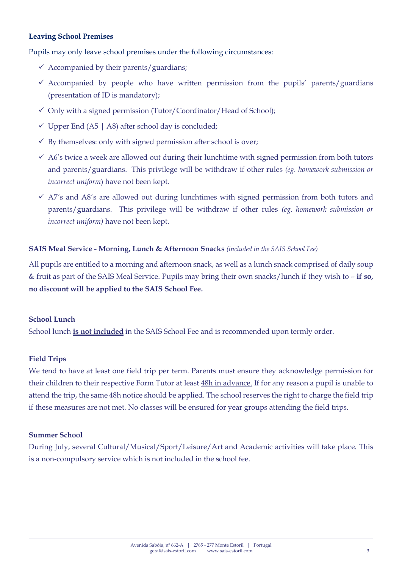# **Leaving School Premises**

Pupils may only leave school premises under the following circumstances:

- $\checkmark$  Accompanied by their parents/guardians;
- $\checkmark$  Accompanied by people who have written permission from the pupils' parents/guardians (presentation of ID is mandatory);
- $\checkmark$  Only with a signed permission (Tutor/Coordinator/Head of School);
- $\checkmark$  Upper End (A5 | A8) after school day is concluded;
- $\checkmark$  By themselves: only with signed permission after school is over;
- $\checkmark$  A6's twice a week are allowed out during their lunchtime with signed permission from both tutors and parents/guardians. This privilege will be withdraw if other rules *(eg. homework submission or incorrect uniform*) have not been kept.
- $\checkmark$  A7<sup>'</sup>s and A8<sup>'</sup>s are allowed out during lunchtimes with signed permission from both tutors and parents/guardians. This privilege will be withdraw if other rules *(eg. homework submission or incorrect uniform)* have not been kept.

#### **SAIS Meal Service - Morning, Lunch & Afternoon Snacks** *(included in the SAIS School Fee)*

All pupils are entitled to a morning and afternoon snack, as well as a lunch snack comprised of daily soup & fruit as part of the SAIS Meal Service. Pupils may bring their own snacks/lunch if they wish to – **if so, no discount will be applied to the SAIS School Fee.**

#### **School Lunch**

School lunch **is not included** in the SAIS School Fee and is recommended upon termly order.

#### **Field Trips**

We tend to have at least one field trip per term. Parents must ensure they acknowledge permission for their children to their respective Form Tutor at least 48h in advance. If for any reason a pupil is unable to attend the trip, the same 48h notice should be applied. The school reserves the right to charge the field trip if these measures are not met. No classes will be ensured for year groups attending the field trips.

#### **Summer School**

During July, several Cultural/Musical/Sport/Leisure/Art and Academic activities will take place. This is a non-compulsory service which is not included in the school fee.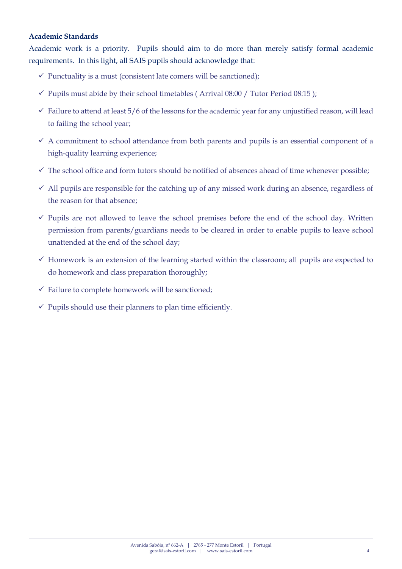# **Academic Standards**

Academic work is a priority. Pupils should aim to do more than merely satisfy formal academic requirements. In this light, all SAIS pupils should acknowledge that:

- $\checkmark$  Punctuality is a must (consistent late comers will be sanctioned);
- $\checkmark$  Pupils must abide by their school timetables (Arrival 08:00 / Tutor Period 08:15 );
- $\checkmark$  Failure to attend at least 5/6 of the lessons for the academic year for any unjustified reason, will lead to failing the school year;
- $\checkmark$  A commitment to school attendance from both parents and pupils is an essential component of a high-quality learning experience;
- $\checkmark$  The school office and form tutors should be notified of absences ahead of time whenever possible;
- $\checkmark$  All pupils are responsible for the catching up of any missed work during an absence, regardless of the reason for that absence;
- $\checkmark$  Pupils are not allowed to leave the school premises before the end of the school day. Written permission from parents/guardians needs to be cleared in order to enable pupils to leave school unattended at the end of the school day;
- $\checkmark$  Homework is an extension of the learning started within the classroom; all pupils are expected to do homework and class preparation thoroughly;
- $\checkmark$  Failure to complete homework will be sanctioned;
- $\checkmark$  Pupils should use their planners to plan time efficiently.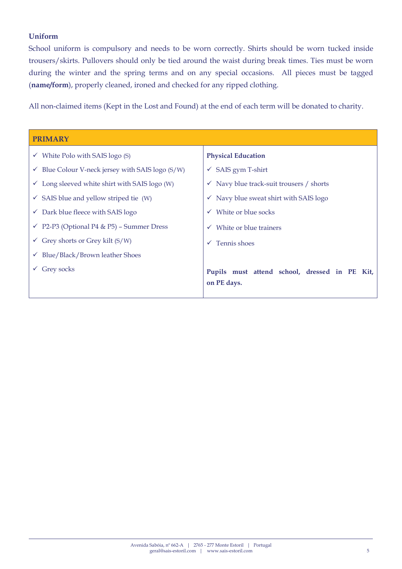# **Uniform**

School uniform is compulsory and needs to be worn correctly. Shirts should be worn tucked inside trousers/skirts. Pullovers should only be tied around the waist during break times. Ties must be worn during the winter and the spring terms and on any special occasions. All pieces must be tagged (**name/form**), properly cleaned, ironed and checked for any ripped clothing.

All non-claimed items (Kept in the Lost and Found) at the end of each term will be donated to charity.

| <b>PRIMARY</b>                                              |                                                              |  |
|-------------------------------------------------------------|--------------------------------------------------------------|--|
| $\checkmark$ White Polo with SAIS logo (S)                  | <b>Physical Education</b>                                    |  |
| $\checkmark$ Blue Colour V-neck jersey with SAIS logo (S/W) | $\checkmark$ SAIS gym T-shirt                                |  |
| $\checkmark$ Long sleeved white shirt with SAIS logo (W)    | $\checkmark$ Navy blue track-suit trousers / shorts          |  |
| $\checkmark$ SAIS blue and yellow striped tie (W)           | $\checkmark$ Navy blue sweat shirt with SAIS logo            |  |
| $\checkmark$ Dark blue fleece with SAIS logo                | $\checkmark$ White or blue socks                             |  |
| $\checkmark$ P2-P3 (Optional P4 & P5) – Summer Dress        | White or blue trainers<br>$\checkmark$                       |  |
| Grey shorts or Grey kilt $(S/W)$                            | Tennis shoes<br>$\checkmark$                                 |  |
| $\checkmark$ Blue/Black/Brown leather Shoes                 |                                                              |  |
| Grey socks                                                  | Pupils must attend school, dressed in PE Kit,<br>on PE days. |  |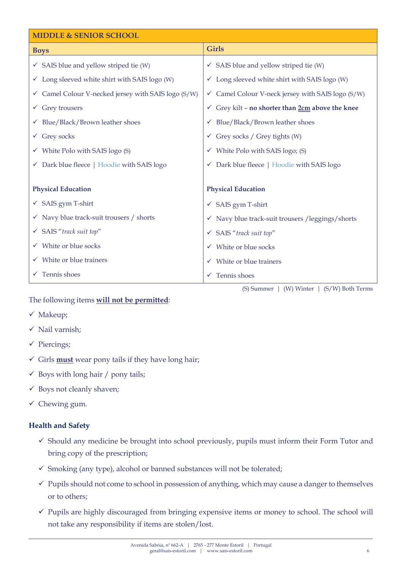| <b>MIDDLE &amp; SENIOR SCHOOL</b>                        |                                                              |  |  |
|----------------------------------------------------------|--------------------------------------------------------------|--|--|
| <b>Boys</b>                                              | <b>Girls</b>                                                 |  |  |
| $\checkmark$ SAIS blue and yellow striped tie (W)        | $\checkmark$ SAIS blue and yellow striped tie (W)            |  |  |
| $\checkmark$ Long sleeved white shirt with SAIS logo (W) | $\checkmark$ Long sleeved white shirt with SAIS logo (W)     |  |  |
| Camel Colour V-necked jersey with SAIS logo (S/W)        | $\checkmark$ Camel Colour V-neck jersey with SAIS logo (S/W) |  |  |
| Grey trousers                                            | Grey kilt - no shorter than 2cm above the knee<br>v.         |  |  |
| Blue/Black/Brown leather shoes                           | $\checkmark$ Blue/Black/Brown leather shoes                  |  |  |
| $\checkmark$ Grey socks                                  | $\checkmark$ Grey socks / Grey tights (W)                    |  |  |
| White Polo with SAIS logo (S)                            | $\checkmark$ White Polo with SAIS logo; (S)                  |  |  |
| Dark blue fleece   Hoodie with SAIS logo<br>$\checkmark$ | ← Dark blue fleece   Hoodie with SAIS logo                   |  |  |
|                                                          |                                                              |  |  |
| <b>Physical Education</b>                                | <b>Physical Education</b>                                    |  |  |
| $\checkmark$ SAIS gym T-shirt                            | $\checkmark$ SAIS gym T-shirt                                |  |  |
| $\checkmark$ Navy blue track-suit trousers / shorts      | ✓ Navy blue track-suit trousers / leggings/ shorts           |  |  |
| √ SAIS "track suit top"                                  | √ SAIS "track suit top"                                      |  |  |
| White or blue socks                                      | $\checkmark$ White or blue socks                             |  |  |
| White or blue trainers                                   | $\checkmark$ White or blue trainers                          |  |  |
| Tennis shoes                                             | Tennis shoes                                                 |  |  |

(S) Summer | (W) Winter | (S/W) Both Terms

# The following items **will not be permitted**:

- $\checkmark$  Makeup;
- $\checkmark$  Nail varnish;
- $\checkmark$  Piercings;
- $\checkmark$  Girls **must** wear pony tails if they have long hair;
- $\checkmark$  Boys with long hair / pony tails;
- $\checkmark$  Boys not cleanly shaven;
- $\checkmark$  Chewing gum.

# **Health and Safety**

- $\checkmark$  Should any medicine be brought into school previously, pupils must inform their Form Tutor and bring copy of the prescription;
- $\checkmark$  Smoking (any type), alcohol or banned substances will not be tolerated;
- $\checkmark$  Pupils should not come to school in possession of anything, which may cause a danger to themselves or to others;
- $\checkmark$  Pupils are highly discouraged from bringing expensive items or money to school. The school will not take any responsibility if items are stolen/lost.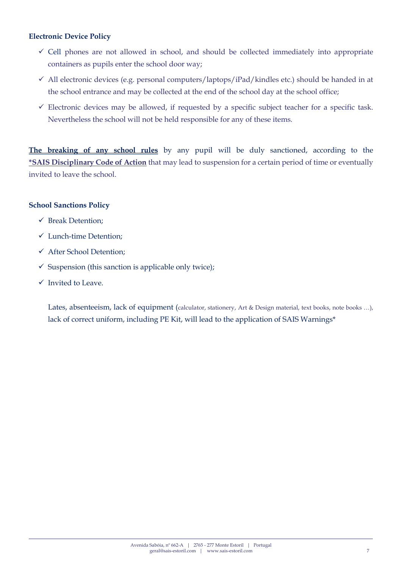# **Electronic Device Policy**

- $\checkmark$  Cell phones are not allowed in school, and should be collected immediately into appropriate containers as pupils enter the school door way;
- $\checkmark$  All electronic devices (e.g. personal computers/laptops/iPad/kindles etc.) should be handed in at the school entrance and may be collected at the end of the school day at the school office;
- $\checkmark$  Electronic devices may be allowed, if requested by a specific subject teacher for a specific task. Nevertheless the school will not be held responsible for any of these items.

**The breaking of any school rules** by any pupil will be duly sanctioned, according to the **\*SAIS Disciplinary Code of Action** that may lead to suspension for a certain period of time or eventually invited to leave the school.

# **School Sanctions Policy**

- Break Detention;
- Lunch-time Detention;
- After School Detention;
- $\checkmark$  Suspension (this sanction is applicable only twice);
- $\checkmark$  Invited to Leave.

Lates, absenteeism, lack of equipment (calculator, stationery, Art & Design material, text books, note books ...), lack of correct uniform, including PE Kit, will lead to the application of SAIS Warnings\*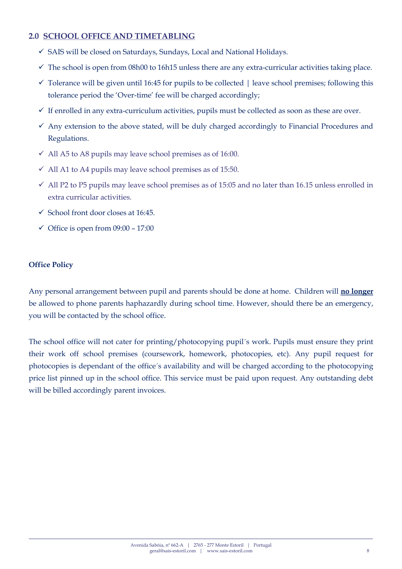# **2.0 SCHOOL OFFICE AND TIMETABLING**

- SAIS will be closed on Saturdays, Sundays, Local and National Holidays.
- $\checkmark$  The school is open from 08h00 to 16h15 unless there are any extra-curricular activities taking place.
- $\checkmark$  Tolerance will be given until 16:45 for pupils to be collected | leave school premises; following this tolerance period the 'Over-time' fee will be charged accordingly;
- $\checkmark$  If enrolled in any extra-curriculum activities, pupils must be collected as soon as these are over.
- $\checkmark$  Any extension to the above stated, will be duly charged accordingly to Financial Procedures and Regulations.
- $\checkmark$  All A5 to A8 pupils may leave school premises as of 16:00.
- $\checkmark$  All A1 to A4 pupils may leave school premises as of 15:50.
- $\checkmark$  All P2 to P5 pupils may leave school premises as of 15:05 and no later than 16.15 unless enrolled in extra curricular activities.
- $\checkmark$  School front door closes at 16:45.
- $\checkmark$  Office is open from 09:00 17:00

# **Office Policy**

Any personal arrangement between pupil and parents should be done at home. Children will **no longer** be allowed to phone parents haphazardly during school time. However, should there be an emergency, you will be contacted by the school office.

The school office will not cater for printing/photocopying pupil´s work. Pupils must ensure they print their work off school premises (coursework, homework, photocopies, etc). Any pupil request for photocopies is dependant of the office´s availability and will be charged according to the photocopying price list pinned up in the school office. This service must be paid upon request. Any outstanding debt will be billed accordingly parent invoices.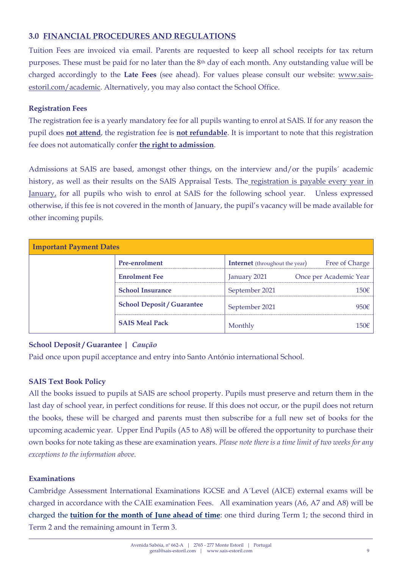# **3.0 FINANCIAL PROCEDURES AND REGULATIONS**

Tuition Fees are invoiced via email. Parents are requested to keep all school receipts for tax return purposes. These must be paid for no later than the 8th day of each month. Any outstanding value will be charged accordingly to the **Late Fees** (see ahead). For values please consult our website: [www.sais](http://www.sais-estoril.com/academic)[estoril.com/academic.](http://www.sais-estoril.com/academic) Alternatively, you may also contact the School Office.

# **Registration Fees**

The registration fee is a yearly mandatory fee for all pupils wanting to enrol at SAIS. If for any reason the pupil does **not attend**, the registration fee is **not refundable**. It is important to note that this registration fee does not automatically confer **the right to admission**.

Admissions at SAIS are based, amongst other things, on the interview and/or the pupils´ academic history, as well as their results on the SAIS Appraisal Tests. The registration is payable every year in January, for all pupils who wish to enrol at SAIS for the following school year. Unless expressed otherwise, if this fee is not covered in the month of January, the pupil's vacancy will be made available for other incoming pupils.

| <b>Important Payment Dates</b> |                                   |                                       |                        |  |  |
|--------------------------------|-----------------------------------|---------------------------------------|------------------------|--|--|
|                                | <b>Pre-enrolment</b>              | <b>Internet</b> (throughout the year) | Free of Charge         |  |  |
|                                | <b>Enrolment Fee</b>              | January 2021                          | Once per Academic Year |  |  |
|                                | <b>School Insurance</b>           | September 2021                        | 150 <sup>ε</sup>       |  |  |
|                                | <b>School Deposit / Guarantee</b> | September 2021                        | 950€                   |  |  |
|                                | <b>SAIS Meal Pack</b>             | Monthly                               | $150\epsilon$          |  |  |

# **School Deposit / Guarantee |** *Caução*

Paid once upon pupil acceptance and entry into Santo António international School.

# **SAIS Text Book Policy**

All the books issued to pupils at SAIS are school property. Pupils must preserve and return them in the last day of school year, in perfect conditions for reuse. If this does not occur, or the pupil does not return the books, these will be charged and parents must then subscribe for a full new set of books for the upcoming academic year. Upper End Pupils (A5 to A8) will be offered the opportunity to purchase their own books for note taking as these are examination years. *Please note there is a time limit of two weeks for any exceptions to the information above.*

# **Examinations**

Cambridge Assessment International Examinations IGCSE and A´Level (AICE) external exams will be charged in accordance with the CAIE examination Fees. All examination years (A6, A7 and A8) will be charged the **tuition for the month of June ahead of time**: one third during Term 1; the second third in Term 2 and the remaining amount in Term 3.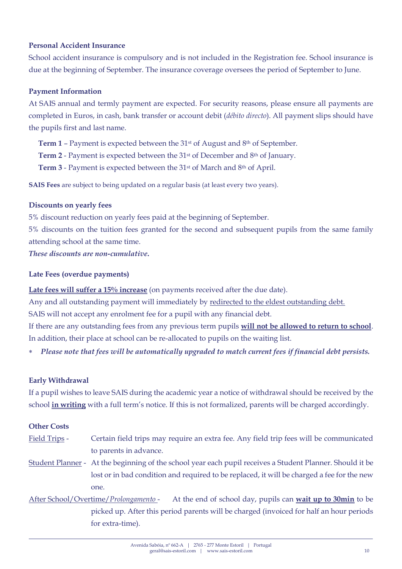# **Personal Accident Insurance**

School accident insurance is compulsory and is not included in the Registration fee. School insurance is due at the beginning of September. The insurance coverage oversees the period of September to June.

# **Payment Information**

At SAIS annual and termly payment are expected. For security reasons, please ensure all payments are completed in Euros, in cash, bank transfer or account debit (*débito directo*). All payment slips should have the pupils first and last name.

**Term 1** – Payment is expected between the 31st of August and 8th of September.

**Term 2** - Payment is expected between the 31st of December and 8th of January.

**Term 3** - Payment is expected between the 31st of March and 8th of April.

**SAIS Fees** are subject to being updated on a regular basis (at least every two years).

# **Discounts on yearly fees**

5% discount reduction on yearly fees paid at the beginning of September.

5% discounts on the tuition fees granted for the second and subsequent pupils from the same family attending school at the same time.

*These discounts are non-cumulative***.**

# **Late Fees (overdue payments)**

**Late fees will suffer a 15% increase** (on payments received after the due date).

Any and all outstanding payment will immediately by redirected to the eldest outstanding debt.

SAIS will not accept any enrolment fee for a pupil with any financial debt.

If there are any outstanding fees from any previous term pupils **will not be allowed to return to school**. In addition, their place at school can be re-allocated to pupils on the waiting list.

*Please note that fees will be automatically upgraded to match current fees if financial debt persists.*

# **Early Withdrawal**

If a pupil wishes to leave SAIS during the academic year a notice of withdrawal should be received by the school **in writing** with a full term's notice. If this is not formalized, parents will be charged accordingly.

#### **Other Costs**

- Field Trips Certain field trips may require an extra fee. Any field trip fees will be communicated to parents in advance.
- Student Planner At the beginning of the school year each pupil receives a Student Planner. Should it be lost or in bad condition and required to be replaced, it will be charged a fee for the new one.

After School/Overtime/*Prolongamento* - At the end of school day, pupils can **wait up to 30min** to be picked up. After this period parents will be charged (invoiced for half an hour periods for extra-time).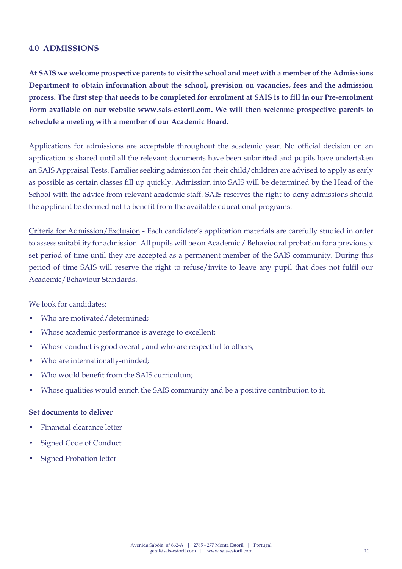# **4.0 ADMISSIONS**

**At SAIS we welcome prospective parents to visit the school and meet with a member of the Admissions Department to obtain information about the school, prevision on vacancies, fees and the admission process. The first step that needs to be completed for enrolment at SAIS is to fill in our Pre-enrolment Form available on our website [www.sais-estoril.com.](http://www.sais-estoril.com/) We will then welcome prospective parents to schedule a meeting with a member of our Academic Board.**

Applications for admissions are acceptable throughout the academic year. No official decision on an application is shared until all the relevant documents have been submitted and pupils have undertaken an SAIS Appraisal Tests. Families seeking admission for their child/children are advised to apply as early as possible as certain classes fill up quickly. Admission into SAIS will be determined by the Head of the School with the advice from relevant academic staff. SAIS reserves the right to deny admissions should the applicant be deemed not to benefit from the available educational programs.

Criteria for Admission/Exclusion - Each candidate's application materials are carefully studied in order to assess suitability for admission. All pupils will be on Academic / Behavioural probation for a previously set period of time until they are accepted as a permanent member of the SAIS community. During this period of time SAIS will reserve the right to refuse/invite to leave any pupil that does not fulfil our Academic/Behaviour Standards.

We look for candidates:

- Who are motivated/determined;
- Whose academic performance is average to excellent;
- Whose conduct is good overall, and who are respectful to others;
- Who are internationally-minded;
- Who would benefit from the SAIS curriculum;
- Whose qualities would enrich the SAIS community and be a positive contribution to it.

#### **Set documents to deliver**

- Financial clearance letter
- Signed Code of Conduct
- Signed Probation letter